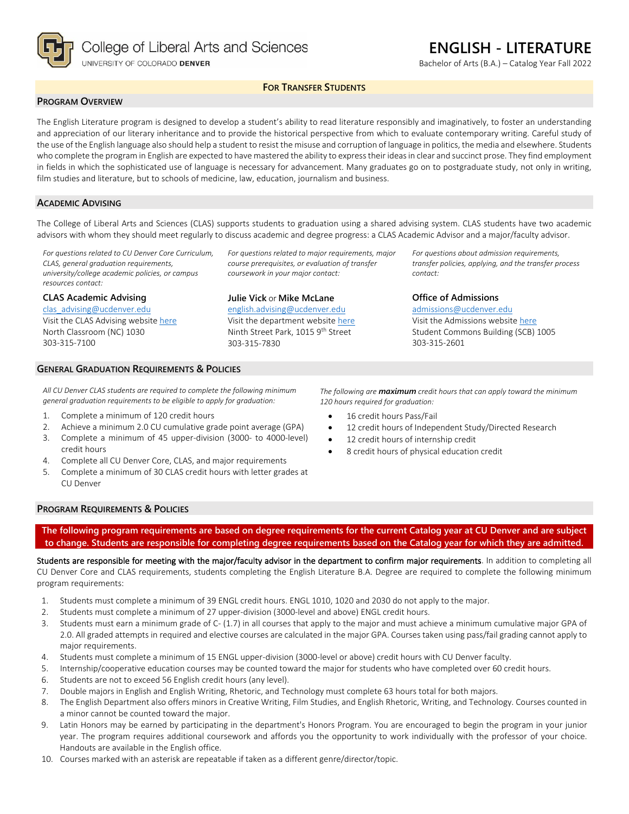

# **ENGLISH - LITERATURE**

Bachelor of Arts (B.A.) – Catalog Year Fall 2022

### **FOR TRANSFER STUDENTS**

#### **PROGRAM OVERVIEW**

The English Literature program is designed to develop a student's ability to read literature responsibly and imaginatively, to foster an understanding and appreciation of our literary inheritance and to provide the historical perspective from which to evaluate contemporary writing. Careful study of the use of the English language also should help a student to resist the misuse and corruption of language in politics, the media and elsewhere. Students who complete the program in English are expected to have mastered the ability to express their ideas in clear and succinct prose. They find employment in fields in which the sophisticated use of language is necessary for advancement. Many graduates go on to postgraduate study, not only in writing, film studies and literature, but to schools of medicine, law, education, journalism and business.

#### **ACADEMIC ADVISING**

The College of Liberal Arts and Sciences (CLAS) supports students to graduation using a shared advising system. CLAS students have two academic advisors with whom they should meet regularly to discuss academic and degree progress: a CLAS Academic Advisor and a major/faculty advisor.

*For questions related to CU Denver Core Curriculum, CLAS, general graduation requirements, university/college academic policies, or campus resources contact:*

#### **CLAS Academic Advising**

[clas\\_advising@ucdenver.edu](mailto:clas_advising@ucdenver.edu) Visit the CLAS Advising websit[e here](https://clas.ucdenver.edu/advising/) North Classroom (NC) 1030 303-315-7100

*For questions related to major requirements, major course prerequisites, or evaluation of transfer coursework in your major contact:*

# **Julie Vick** or **Mike McLane** [english.advising@ucdenver.edu](mailto:english.advising@ucdenver.edu)

Visit the department website [here](https://clas.ucdenver.edu/english/english-literature) Ninth Street Park, 1015 9<sup>th</sup> Street 303-315-7830

*For questions about admission requirements, transfer policies, applying, and the transfer process contact:*

**Office of Admissions** [admissions@ucdenver.edu](mailto:admissions@ucdenver.edu) Visit the Admissions website [here](http://www.ucdenver.edu/admissions/Pages/index.aspx) Student Commons Building (SCB) 1005 303-315-2601

#### **GENERAL GRADUATION REQUIREMENTS & POLICIES**

*All CU Denver CLAS students are required to complete the following minimum general graduation requirements to be eligible to apply for graduation:*

- 1. Complete a minimum of 120 credit hours
- 2. Achieve a minimum 2.0 CU cumulative grade point average (GPA)
- 3. Complete a minimum of 45 upper-division (3000- to 4000-level) credit hours
- 4. Complete all CU Denver Core, CLAS, and major requirements
- 5. Complete a minimum of 30 CLAS credit hours with letter grades at CU Denver

*The following are maximum credit hours that can apply toward the minimum 120 hours required for graduation:*

- 16 credit hours Pass/Fail
- 12 credit hours of Independent Study/Directed Research
- 12 credit hours of internship credit
- 8 credit hours of physical education credit

### **PROGRAM REQUIREMENTS & POLICIES**

**The following program requirements are based on degree requirements for the current Catalog year at CU Denver and are subject to change. Students are responsible for completing degree requirements based on the Catalog year for which they are admitted.**

Students are responsible for meeting with the major/faculty advisor in the department to confirm major requirements. In addition to completing all CU Denver Core and CLAS requirements, students completing the English Literature B.A. Degree are required to complete the following minimum program requirements:

- 1. Students must complete a minimum of 39 ENGL credit hours. ENGL 1010, 1020 and 2030 do not apply to the major.
- 2. Students must complete a minimum of 27 upper-division (3000-level and above) ENGL credit hours.
- 3. Students must earn a minimum grade of C- (1.7) in all courses that apply to the major and must achieve a minimum cumulative major GPA of 2.0. All graded attempts in required and elective courses are calculated in the major GPA. Courses taken using pass/fail grading cannot apply to major requirements.
- 4. Students must complete a minimum of 15 ENGL upper-division (3000-level or above) credit hours with CU Denver faculty.
- 5. Internship/cooperative education courses may be counted toward the major for students who have completed over 60 credit hours.
- 6. Students are not to exceed 56 English credit hours (any level).
- 7. Double majors in English and English Writing, Rhetoric, and Technology must complete 63 hours total for both majors.
- 8. The English Department also offers minors in Creative Writing, Film Studies, and English Rhetoric, Writing, and Technology. Courses counted in a minor cannot be counted toward the major.
- 9. Latin Honors may be earned by participating in the department's Honors Program. You are encouraged to begin the program in your junior year. The program requires additional coursework and affords you the opportunity to work individually with the professor of your choice. Handouts are available in the English office.
- 10. Courses marked with an asterisk are repeatable if taken as a different genre/director/topic.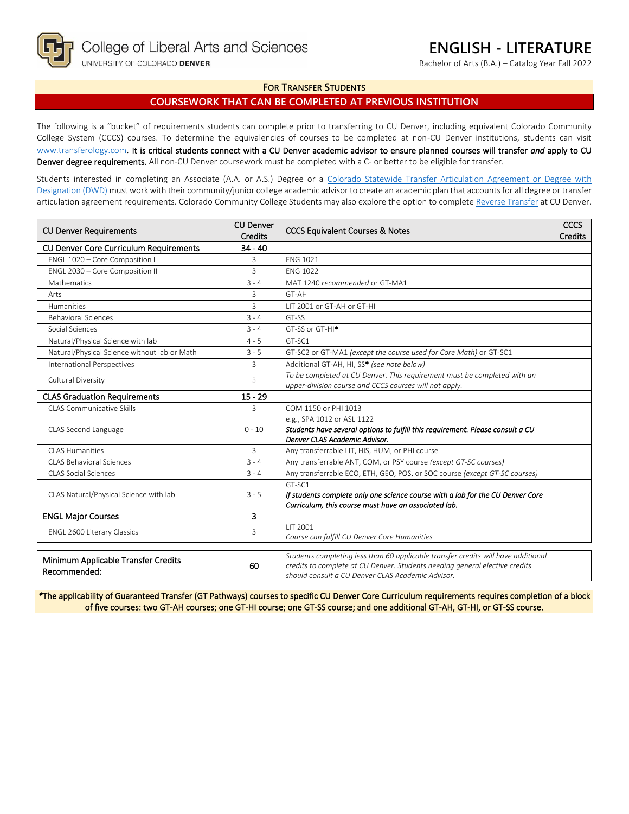

Bachelor of Arts (B.A.) – Catalog Year Fall 2022

### **FOR TRANSFER STUDENTS**

# **COURSEWORK THAT CAN BE COMPLETED AT PREVIOUS INSTITUTION**

The following is a "bucket" of requirements students can complete prior to transferring to CU Denver, including equivalent Colorado Community College System (CCCS) courses. To determine the equivalencies of courses to be completed at non-CU Denver institutions, students can visit [www.transferology.com](http://www.transferology.com/)**.** It is critical students connect with a CU Denver academic advisor to ensure planned courses will transfer *and* apply to CU Denver degree requirements. All non-CU Denver coursework must be completed with a C- or better to be eligible for transfer.

Students interested in completing an Associate (A.A. or A.S.) Degree or a Colorado Statewide Transfer Articulation Agreement or Degree with [Designation \(DWD\)](https://highered.colorado.gov/transfer-degrees) must work with their community/junior college academic advisor to create an academic plan that accounts for all degree or transfer articulation agreement requirements. Colorado Community College Students may also explore the option to complet[e Reverse Transfer](https://highered.colorado.gov/students/attending-college/colorado-reverse-transfer) at CU Denver.

| <b>CU Denver</b><br><b>CU Denver Requirements</b><br><b>Credits</b> |           | <b>CCCS Equivalent Courses &amp; Notes</b>                                                                                         | CCCS<br><b>Credits</b> |
|---------------------------------------------------------------------|-----------|------------------------------------------------------------------------------------------------------------------------------------|------------------------|
| CU Denver Core Curriculum Requirements                              | $34 - 40$ |                                                                                                                                    |                        |
| ENGL 1020 - Core Composition I                                      | 3         | <b>ENG 1021</b>                                                                                                                    |                        |
| ENGL 2030 - Core Composition II                                     | 3         | <b>FNG 1022</b>                                                                                                                    |                        |
| Mathematics                                                         | $3 - 4$   | MAT 1240 recommended or GT-MA1                                                                                                     |                        |
| Arts                                                                | 3         | GT-AH                                                                                                                              |                        |
| <b>Humanities</b>                                                   | 3         | LIT 2001 or GT-AH or GT-HI                                                                                                         |                        |
| <b>Behavioral Sciences</b>                                          | $3 - 4$   | GT-SS                                                                                                                              |                        |
| Social Sciences                                                     | $3 - 4$   | GT-SS or GT-HI <sup>*</sup>                                                                                                        |                        |
| Natural/Physical Science with lab                                   | $4 - 5$   | GT-SC1                                                                                                                             |                        |
| Natural/Physical Science without lab or Math                        | $3 - 5$   | GT-SC2 or GT-MA1 (except the course used for Core Math) or GT-SC1                                                                  |                        |
| <b>International Perspectives</b>                                   | 3         | Additional GT-AH, HI, SS* (see note below)                                                                                         |                        |
| Cultural Diversity                                                  |           | To be completed at CU Denver. This requirement must be completed with an<br>upper-division course and CCCS courses will not apply. |                        |
| <b>CLAS Graduation Requirements</b>                                 | $15 - 29$ |                                                                                                                                    |                        |
| CLAS Communicative Skills                                           | 3         | COM 1150 or PHI 1013                                                                                                               |                        |
|                                                                     | $0 - 10$  | e.g., SPA 1012 or ASL 1122                                                                                                         |                        |
| CLAS Second Language                                                |           | Students have several options to fulfill this requirement. Please consult a CU                                                     |                        |
|                                                                     |           | Denver CLAS Academic Advisor.                                                                                                      |                        |
| <b>CLAS Humanities</b>                                              | 3         | Any transferrable LIT, HIS, HUM, or PHI course                                                                                     |                        |
| CLAS Behavioral Sciences                                            | $3 - 4$   | Any transferrable ANT, COM, or PSY course (except GT-SC courses)                                                                   |                        |
| <b>CLAS Social Sciences</b>                                         | $3 - 4$   | Any transferrable ECO, ETH, GEO, POS, or SOC course (except GT-SC courses)                                                         |                        |
|                                                                     | $3 - 5$   | GT-SC1                                                                                                                             |                        |
| CLAS Natural/Physical Science with lab                              |           | If students complete only one science course with a lab for the CU Denver Core                                                     |                        |
|                                                                     |           | Curriculum, this course must have an associated lab.                                                                               |                        |
| <b>ENGL Major Courses</b>                                           | 3         |                                                                                                                                    |                        |
| <b>ENGL 2600 Literary Classics</b>                                  | 3         | LIT 2001<br>Course can fulfill CU Denver Core Humanities                                                                           |                        |
|                                                                     |           |                                                                                                                                    |                        |
| Minimum Applicable Transfer Credits                                 |           | Students completing less than 60 applicable transfer credits will have additional                                                  |                        |
| Recommended:                                                        | 60        | credits to complete at CU Denver. Students needing general elective credits                                                        |                        |
|                                                                     |           | should consult a CU Denver CLAS Academic Advisor.                                                                                  |                        |

*\**The applicability of Guaranteed Transfer (GT Pathways) courses to specific CU Denver Core Curriculum requirements requires completion of a block of five courses: two GT-AH courses; one GT-HI course; one GT-SS course; and one additional GT-AH, GT-HI, or GT-SS course.